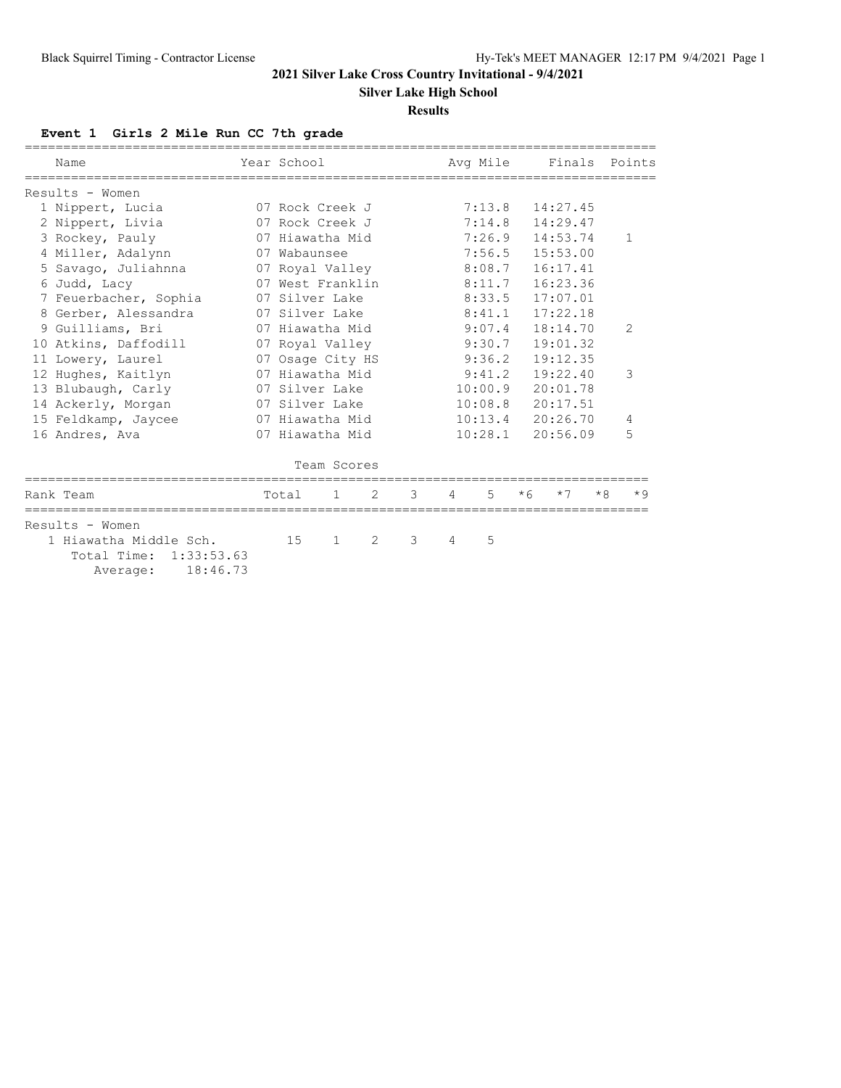**Silver Lake High School**

#### **Results**

# **Event 1 Girls 2 Mile Run CC 7th grade**

|                 | Name<br>____________________________<br>--------------                      | Year School      |              |   | ------------------------------- |   | Avg Mile |      | Finals   |      | Points         |
|-----------------|-----------------------------------------------------------------------------|------------------|--------------|---|---------------------------------|---|----------|------|----------|------|----------------|
|                 | Results - Women                                                             |                  |              |   |                                 |   |          |      |          |      |                |
|                 | 1 Nippert, Lucia                                                            | 07 Rock Creek J  |              |   |                                 |   | 7:13.8   |      | 14:27.45 |      |                |
|                 | 2 Nippert, Livia                                                            | 07 Rock Creek J  |              |   |                                 |   | 7:14.8   |      | 14:29.47 |      |                |
|                 | 3 Rockey, Pauly                                                             | 07 Hiawatha Mid  |              |   |                                 |   | 7:26.9   |      | 14:53.74 |      | 1              |
|                 | 4 Miller, Adalynn                                                           | 07 Wabaunsee     |              |   |                                 |   | 7:56.5   |      | 15:53.00 |      |                |
|                 | 5 Savago, Juliahnna                                                         | 07 Royal Valley  |              |   |                                 |   | 8:08.7   |      | 16:17.41 |      |                |
|                 | 6 Judd, Lacy                                                                | 07 West Franklin |              |   |                                 |   | 8:11.7   |      | 16:23.36 |      |                |
|                 | 7 Feuerbacher, Sophia                                                       | 07 Silver Lake   |              |   |                                 |   | 8:33.5   |      | 17:07.01 |      |                |
|                 | 8 Gerber, Alessandra                                                        | 07 Silver Lake   |              |   |                                 |   | 8:41.1   |      | 17:22.18 |      |                |
|                 | 9 Guilliams, Bri                                                            | 07 Hiawatha Mid  |              |   |                                 |   | 9:07.4   |      | 18:14.70 |      | $\overline{2}$ |
| 10 <sup>°</sup> | Atkins, Daffodill                                                           | 07 Royal Valley  |              |   |                                 |   | 9:30.7   |      | 19:01.32 |      |                |
|                 | 11 Lowery, Laurel                                                           | 07 Osage City HS |              |   |                                 |   | 9:36.2   |      | 19:12.35 |      |                |
|                 | 12 Hughes, Kaitlyn                                                          | 07 Hiawatha Mid  |              |   |                                 |   | 9:41.2   |      | 19:22.40 |      | 3              |
|                 | 13 Blubaugh, Carly                                                          | 07 Silver Lake   |              |   |                                 |   | 10:00.9  |      | 20:01.78 |      |                |
|                 | 14 Ackerly, Morgan                                                          | 07 Silver Lake   |              |   |                                 |   | 10:08.8  |      | 20:17.51 |      |                |
|                 | 15 Feldkamp, Jaycee                                                         | 07 Hiawatha Mid  |              |   |                                 |   | 10:13.4  |      | 20:26.70 |      | 4              |
|                 | 16 Andres, Ava                                                              | 07 Hiawatha Mid  |              |   |                                 |   | 10:28.1  |      | 20:56.09 |      | 5              |
|                 |                                                                             |                  |              |   |                                 |   |          |      |          |      |                |
|                 |                                                                             |                  | Team Scores  |   |                                 |   |          |      |          |      |                |
|                 | Rank Team                                                                   | Total            | $\mathbf{1}$ | 2 | 3                               | 4 | 5        | $*6$ | $*7$     | $*8$ | $*9$           |
|                 | Results - Women                                                             |                  |              |   |                                 |   |          |      |          |      |                |
|                 | 1 Hiawatha Middle Sch.<br>Total Time:<br>1:33:53.63<br>18:46.73<br>Average: | 15               | $\mathbf{1}$ | 2 | 3                               | 4 | 5        |      |          |      |                |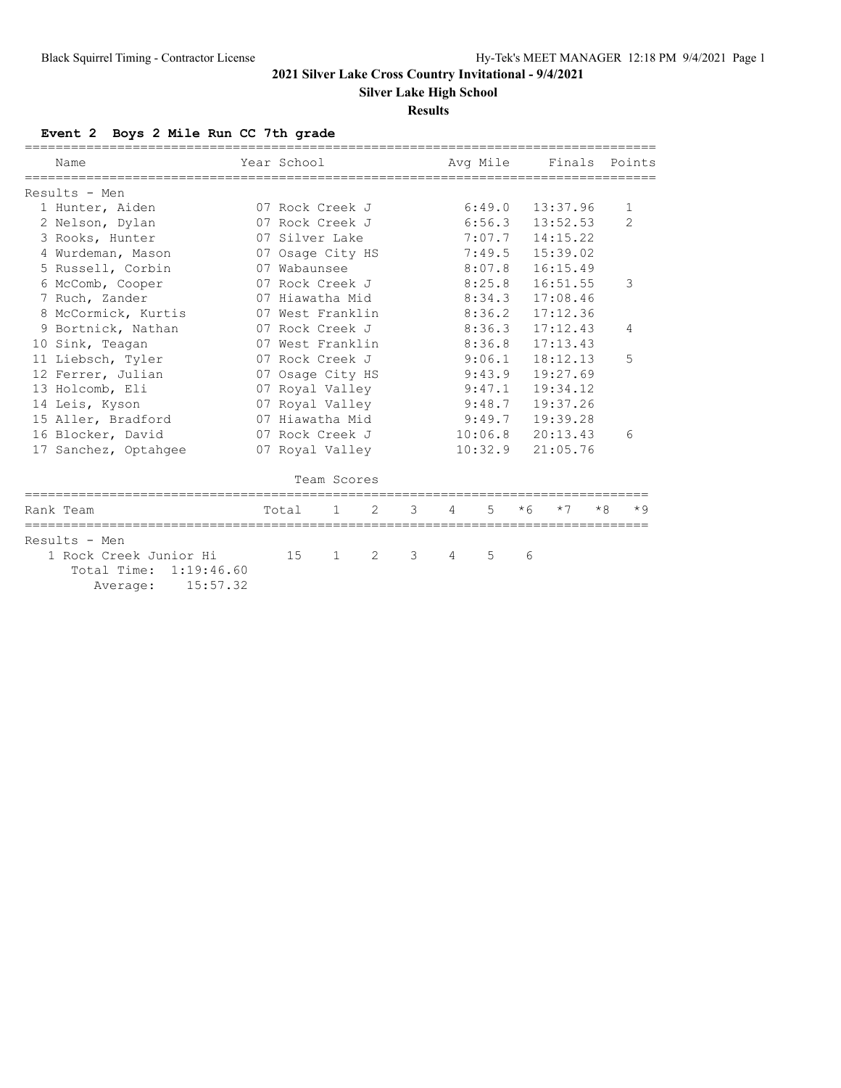**Silver Lake High School**

#### **Results**

# **Event 2 Boys 2 Mile Run CC 7th grade**

| Name                                                         |          | Year School      |                  |                |   |        | Ava Mile |      |          |      | Finals Points |  |
|--------------------------------------------------------------|----------|------------------|------------------|----------------|---|--------|----------|------|----------|------|---------------|--|
| Results - Men                                                |          |                  |                  |                |   |        |          |      |          |      |               |  |
| 1 Hunter, Aiden                                              |          |                  | 07 Rock Creek J  |                |   |        | 6:49.0   |      | 13:37.96 |      | $\mathbf{1}$  |  |
| 2 Nelson, Dylan                                              |          |                  | 07 Rock Creek J  |                |   |        | 6:56.3   |      | 13:52.53 |      | $\mathcal{P}$ |  |
| 3 Rooks, Hunter                                              |          |                  | 07 Silver Lake   |                |   |        | 7:07.7   |      | 14:15.22 |      |               |  |
| 4 Wurdeman, Mason                                            |          |                  | 07 Osage City HS |                |   |        | 7:49.5   |      | 15:39.02 |      |               |  |
| 5 Russell, Corbin                                            |          | 07 Wabaunsee     |                  |                |   |        | 8:07.8   |      | 16:15.49 |      |               |  |
| 6 McComb, Cooper                                             |          |                  | 07 Rock Creek J  |                |   |        | 8:25.8   |      | 16:51.55 |      |               |  |
| 7 Ruch, Zander                                               |          |                  | 07 Hiawatha Mid  |                |   |        | 8:34.3   |      | 17:08.46 |      |               |  |
| 8 McCormick, Kurtis                                          |          | 07 West Franklin |                  |                |   |        | 8:36.2   |      | 17:12.36 |      |               |  |
| 9 Bortnick, Nathan                                           |          | 07 Rock Creek J  |                  |                |   |        | 8:36.3   |      | 17:12.43 |      | 4             |  |
| 10 Sink, Teagan                                              |          | 07 West Franklin |                  |                |   |        | 8:36.8   |      | 17:13.43 |      |               |  |
| 11 Liebsch, Tyler                                            |          | 07 Rock Creek J  |                  |                |   |        | 9:06.1   |      | 18:12.13 |      | 5             |  |
| 12 Ferrer, Julian                                            |          |                  | 07 Osage City HS |                |   |        | 9:43.9   |      | 19:27.69 |      |               |  |
| 13 Holcomb, Eli                                              |          |                  | 07 Royal Valley  |                |   |        | 9:47.1   |      | 19:34.12 |      |               |  |
| 14 Leis, Kyson                                               |          |                  | 07 Royal Valley  |                |   |        | 9:48.7   |      | 19:37.26 |      |               |  |
| 15 Aller, Bradford                                           |          |                  | 07 Hiawatha Mid  |                |   | 9:49.7 |          |      | 19:39.28 |      |               |  |
| 16 Blocker, David                                            |          |                  | 07 Rock Creek J  |                |   |        | 10:06.8  |      | 20:13.43 |      | 6             |  |
| 17 Sanchez, Optahgee                                         |          |                  | 07 Royal Valley  |                |   |        | 10:32.9  |      | 21:05.76 |      |               |  |
|                                                              |          |                  | Team Scores      |                |   |        |          |      |          |      |               |  |
| Rank Team                                                    |          | Total            | $\mathbf{1}$     | $\mathfrak{D}$ | 3 | 4      | 5        | $*6$ | $*7$     | $*R$ | $*9$          |  |
| Results - Men                                                |          |                  |                  |                |   |        |          |      |          |      |               |  |
| 1 Rock Creek Junior Hi<br>Total Time: 1:19:46.60<br>Average: | 15:57.32 | 15               | $\mathbf{1}$     | 2              | 3 | 4      | 5        | 6    |          |      |               |  |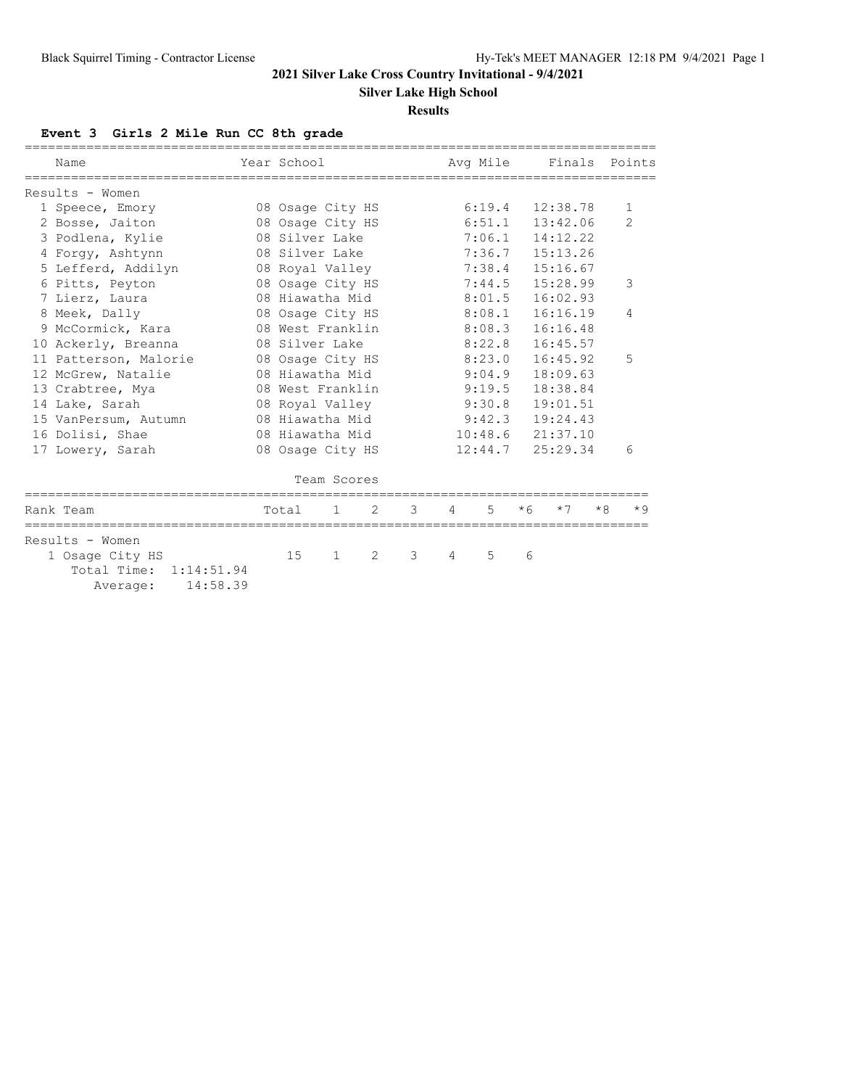**Silver Lake High School**

#### **Results**

# **Event 3 Girls 2 Mile Run CC 8th grade**

| Name                                                              | Year School      |                  |                |   |        | Ava Mile |          | Finals   |      | Points        |  |
|-------------------------------------------------------------------|------------------|------------------|----------------|---|--------|----------|----------|----------|------|---------------|--|
| Results - Women                                                   |                  |                  |                |   |        |          |          |          |      |               |  |
| 1 Speece, Emory                                                   |                  | 08 Osage City HS |                |   |        | 6:19.4   |          | 12:38.78 |      | $\mathbf{1}$  |  |
| 2 Bosse, Jaiton                                                   |                  | 08 Osage City HS |                |   |        | 6:51.1   |          | 13:42.06 |      | $\mathcal{P}$ |  |
| 3 Podlena, Kylie                                                  |                  | 08 Silver Lake   |                |   |        | 7:06.1   |          | 14:12.22 |      |               |  |
| 4 Forgy, Ashtynn                                                  |                  | 08 Silver Lake   |                |   |        | 7:36.7   |          | 15:13.26 |      |               |  |
| 5 Lefferd, Addilyn                                                |                  | 08 Royal Valley  |                |   |        | 7:38.4   |          | 15:16.67 |      |               |  |
| 6 Pitts, Peyton                                                   |                  | 08 Osage City HS |                |   |        | 7:44.5   |          | 15:28.99 |      | 3             |  |
| 7 Lierz, Laura                                                    |                  | 08 Hiawatha Mid  |                |   |        | 8:01.5   | 16:02.93 |          |      |               |  |
| 8 Meek, Dally                                                     |                  | 08 Osage City HS |                |   |        | 8:08.1   |          | 16:16.19 |      | 4             |  |
| 9 McCormick, Kara                                                 | 08 West Franklin |                  |                |   |        | 8:08.3   | 16:16.48 |          |      |               |  |
| 10 Ackerly, Breanna                                               | 08 Silver Lake   |                  |                |   |        | 8:22.8   |          | 16:45.57 |      |               |  |
| 11 Patterson, Malorie                                             | 08 Osage City HS |                  |                |   |        | 8:23.0   |          | 16:45.92 |      | 5             |  |
| 12 McGrew, Natalie                                                | 08 Hiawatha Mid  |                  |                |   |        | 9:04.9   |          | 18:09.63 |      |               |  |
| 13 Crabtree, Mya                                                  |                  | 08 West Franklin |                |   | 9:19.5 |          |          | 18:38.84 |      |               |  |
| 14 Lake, Sarah                                                    |                  | 08 Royal Valley  |                |   | 9:30.8 |          |          | 19:01.51 |      |               |  |
| 15 VanPersum, Autumn                                              |                  | 08 Hiawatha Mid  |                |   | 9:42.3 |          |          | 19:24.43 |      |               |  |
| 16 Dolisi, Shae                                                   |                  | 08 Hiawatha Mid  |                |   |        | 10:48.6  |          | 21:37.10 |      |               |  |
| 17 Lowery, Sarah                                                  |                  | 08 Osage City HS |                |   |        | 12:44.7  |          | 25:29.34 |      | 6             |  |
|                                                                   |                  | Team Scores      |                |   |        |          |          |          |      |               |  |
| Rank Team                                                         | Total            | 1.               | $\mathfrak{D}$ | 3 | 4      | 5        | $*6$     | $*7$     | $*R$ | $*9$          |  |
| Results - Women                                                   |                  |                  |                |   |        |          |          |          |      |               |  |
| 1 Osage City HS<br>Total Time: 1:14:51.94<br>14:58.39<br>Average: | 15               | $\mathbf{1}$     | 2              | 3 | 4      | 5        | 6        |          |      |               |  |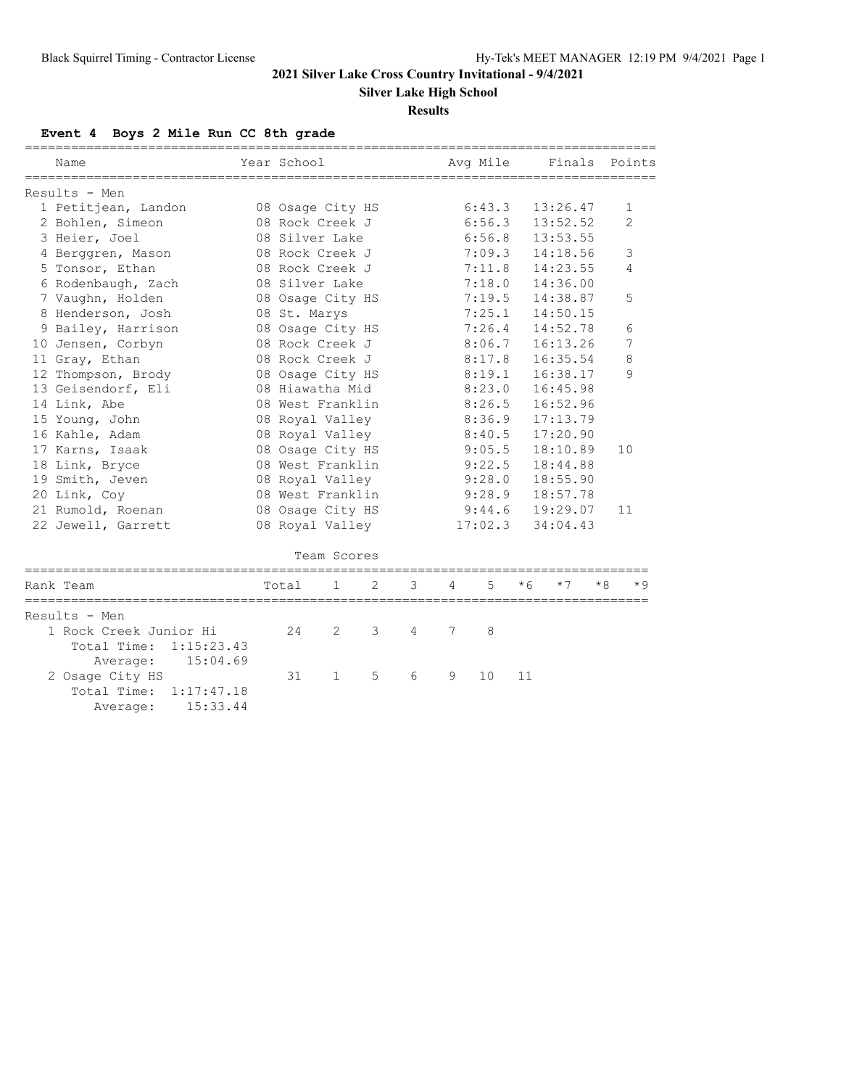**Silver Lake High School**

#### **Results**

#### **Event 4 Boys 2 Mile Run CC 8th grade**

 Total Time: 1:15:23.43 Average: 15:04.69<br>2 Osage City HS

 Total Time: 1:17:47.18 Average: 15:33.44

| Name                                                                                                                                                                                                                                                                                              | Year School      |                |               |   |   | Ava Mile |      |          |      | Finals Points  |
|---------------------------------------------------------------------------------------------------------------------------------------------------------------------------------------------------------------------------------------------------------------------------------------------------|------------------|----------------|---------------|---|---|----------|------|----------|------|----------------|
| Results - Men                                                                                                                                                                                                                                                                                     |                  |                |               |   |   |          |      |          |      |                |
| 1 Petitjean, Landon                                                                                                                                                                                                                                                                               | 08 Osage City HS |                |               |   |   | 6:43.3   |      | 13:26.47 |      | $\mathbf{1}$   |
| 2 Bohlen, Simeon                                                                                                                                                                                                                                                                                  | 08 Rock Creek J  |                |               |   |   | 6:56.3   |      | 13:52.52 |      | $\overline{2}$ |
| 3 Heier, Joel                                                                                                                                                                                                                                                                                     | 08 Silver Lake   |                |               |   |   | 6:56.8   |      | 13:53.55 |      |                |
| 4 Berggren, Mason                                                                                                                                                                                                                                                                                 | 08 Rock Creek J  |                |               |   |   | 7:09.3   |      | 14:18.56 |      | 3              |
| 5 Tonsor, Ethan                                                                                                                                                                                                                                                                                   | 08 Rock Creek J  |                |               |   |   | 7:11.8   |      | 14:23.55 |      | 4              |
| 6 Rodenbaugh, Zach                                                                                                                                                                                                                                                                                | 08 Silver Lake   |                |               |   |   | 7:18.0   |      | 14:36.00 |      |                |
| 7 Vaughn, Holden                                                                                                                                                                                                                                                                                  | 08 Osage City HS |                |               |   |   | 7:19.5   |      | 14:38.87 |      | 5              |
| 8 Henderson, Josh                                                                                                                                                                                                                                                                                 | 08 St. Marys     |                |               |   |   | 7:25.1   |      | 14:50.15 |      |                |
| 9 Bailey, Harrison                                                                                                                                                                                                                                                                                | 08 Osage City HS |                |               |   |   | 7:26.4   |      | 14:52.78 |      | 6              |
| 10 Jensen, Corbyn                                                                                                                                                                                                                                                                                 | 08 Rock Creek J  |                |               |   |   | 8:06.7   |      | 16:13.26 |      | 7              |
| 11 Gray, Ethan                                                                                                                                                                                                                                                                                    | 08 Rock Creek J  |                |               |   |   | 8:17.8   |      | 16:35.54 |      | 8              |
| 12 Thompson, Brody                                                                                                                                                                                                                                                                                | 08 Osage City HS |                |               |   |   | 8:19.1   |      | 16:38.17 |      | 9              |
| 13 Geisendorf, Eli                                                                                                                                                                                                                                                                                | 08 Hiawatha Mid  |                |               |   |   | 8:23.0   |      | 16:45.98 |      |                |
| 14 Link, Abe                                                                                                                                                                                                                                                                                      | 08 West Franklin |                |               |   |   | 8:26.5   |      | 16:52.96 |      |                |
| 15 Young, John                                                                                                                                                                                                                                                                                    | 08 Royal Valley  |                |               |   |   | 8:36.9   |      | 17:13.79 |      |                |
| 16 Kahle, Adam                                                                                                                                                                                                                                                                                    | 08 Royal Valley  |                |               |   |   | 8:40.5   |      | 17:20.90 |      |                |
| 17 Karns, Isaak                                                                                                                                                                                                                                                                                   | 08 Osage City HS |                |               |   |   | 9:05.5   |      | 18:10.89 |      | 10             |
| 18 Link, Bryce                                                                                                                                                                                                                                                                                    | 08 West Franklin |                |               |   |   | 9:22.5   |      | 18:44.88 |      |                |
| 19 Smith, Jeven                                                                                                                                                                                                                                                                                   | 08 Royal Valley  |                |               |   |   | 9:28.0   |      | 18:55.90 |      |                |
| 20 Link, Coy                                                                                                                                                                                                                                                                                      | 08 West Franklin |                |               |   |   | 9:28.9   |      | 18:57.78 |      |                |
| 21 Rumold, Roenan                                                                                                                                                                                                                                                                                 | 08 Osage City HS |                |               |   |   | 9:44.6   |      | 19:29.07 |      | 11             |
| 22 Jewell, Garrett                                                                                                                                                                                                                                                                                | 08 Royal Valley  |                |               |   |   | 17:02.3  |      | 34:04.43 |      |                |
|                                                                                                                                                                                                                                                                                                   |                  | Team Scores    |               |   |   |          |      |          |      |                |
| Rank Team                                                                                                                                                                                                                                                                                         | Total            | $\mathbf{1}$   | $\mathcal{L}$ | 3 | 4 | 5        | $*6$ | $*7$     | $*8$ | $*9$           |
| Results - Men                                                                                                                                                                                                                                                                                     |                  |                |               |   |   |          |      |          |      |                |
| 1 Rock Creek Junior Hi<br>$m_{0} + 1$ $m_{0} + 2$ $m_{1} + 3$ $m_{1} + 1$ $m_{1} + 2$ $m_{1} + 2$ $m_{1} + 2$ $m_{1} + 2$ $m_{1} + 2$ $m_{1} + 2$ $m_{1} + 2$ $m_{1} + 2$ $m_{1} + 2$ $m_{1} + 2$ $m_{1} + 2$ $m_{1} + 2$ $m_{1} + 2$ $m_{1} + 2$ $m_{1} + 2$ $m_{1} + 2$ $m_{1} + 2$ $m_{1} + 2$ | 24               | $\mathfrak{L}$ | 3             | 4 | 7 | 8        |      |          |      |                |

2 Osage City HS 31 1 5 6 9 10 11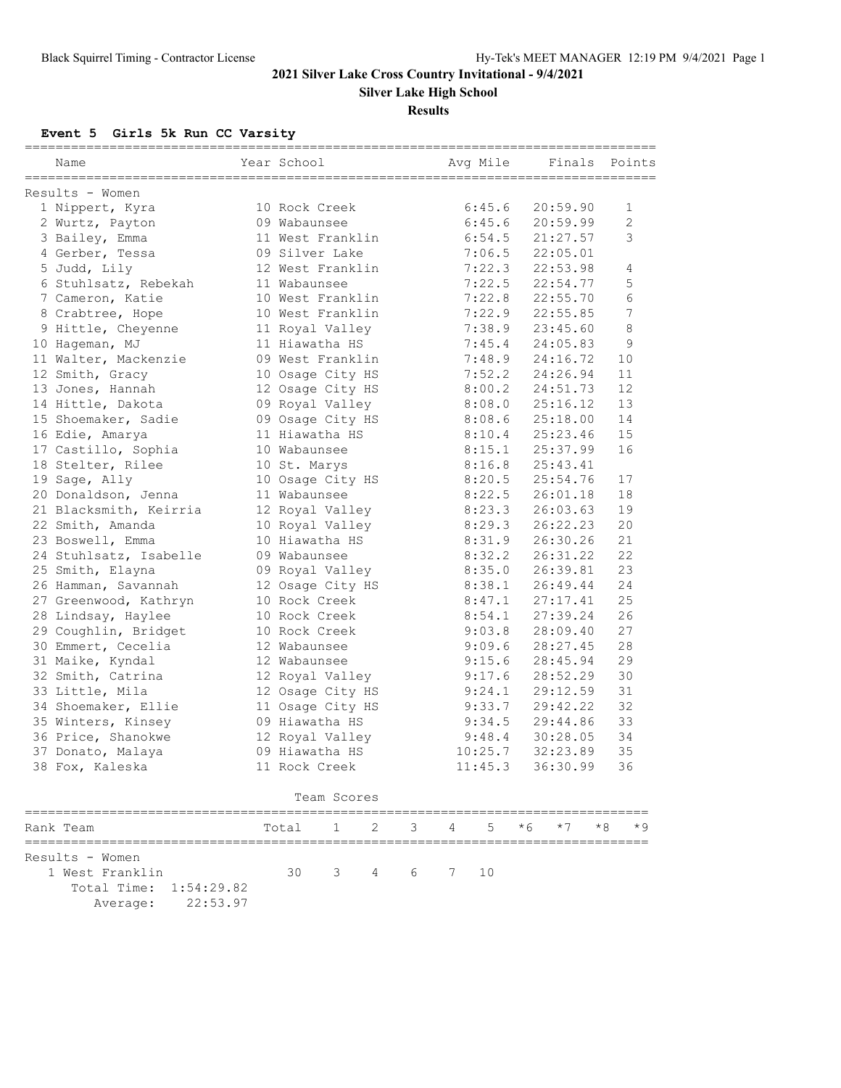**Silver Lake High School**

#### **Results**

# **Event 5 Girls 5k Run CC Varsity**

| Year School<br>Avg Mile<br>Finals Points<br>Name<br>Results - Women<br>10 Rock Creek<br>6:45.6<br>20:59.90<br>1 Nippert, Kyra<br>6:45.6<br>20:59.99<br>2 Wurtz, Payton<br>09 Wabaunsee<br>6:54.5<br>3 Bailey, Emma<br>11 West Franklin<br>21:27.57<br>09 Silver Lake<br>4 Gerber, Tessa<br>7:06.5<br>22:05.01<br>12 West Franklin<br>5 Judd, Lily<br>7:22.3<br>22:53.98<br>7:22.5<br>6 Stuhlsatz, Rebekah<br>11 Wabaunsee<br>22:54.77<br>7 Cameron, Katie<br>10 West Franklin<br>7:22.8<br>22:55.70<br>10 West Franklin<br>7:22.9<br>22:55.85<br>8 Crabtree, Hope<br>11 Royal Valley<br>7:38.9<br>23:45.60<br>9 Hittle, Cheyenne<br>11 Hiawatha HS<br>7:45.4<br>24:05.83<br>10 Hageman, MJ<br>10<br>11 Walter, Mackenzie<br>09 West Franklin<br>7:48.9<br>24:16.72<br>12 Smith, Gracy<br>10 Osage City HS<br>7:52.2<br>24:26.94<br>11 |            |
|---------------------------------------------------------------------------------------------------------------------------------------------------------------------------------------------------------------------------------------------------------------------------------------------------------------------------------------------------------------------------------------------------------------------------------------------------------------------------------------------------------------------------------------------------------------------------------------------------------------------------------------------------------------------------------------------------------------------------------------------------------------------------------------------------------------------------------------|------------|
|                                                                                                                                                                                                                                                                                                                                                                                                                                                                                                                                                                                                                                                                                                                                                                                                                                       |            |
|                                                                                                                                                                                                                                                                                                                                                                                                                                                                                                                                                                                                                                                                                                                                                                                                                                       |            |
|                                                                                                                                                                                                                                                                                                                                                                                                                                                                                                                                                                                                                                                                                                                                                                                                                                       | 1          |
|                                                                                                                                                                                                                                                                                                                                                                                                                                                                                                                                                                                                                                                                                                                                                                                                                                       | 2          |
|                                                                                                                                                                                                                                                                                                                                                                                                                                                                                                                                                                                                                                                                                                                                                                                                                                       | 3          |
|                                                                                                                                                                                                                                                                                                                                                                                                                                                                                                                                                                                                                                                                                                                                                                                                                                       |            |
|                                                                                                                                                                                                                                                                                                                                                                                                                                                                                                                                                                                                                                                                                                                                                                                                                                       |            |
|                                                                                                                                                                                                                                                                                                                                                                                                                                                                                                                                                                                                                                                                                                                                                                                                                                       | 4          |
|                                                                                                                                                                                                                                                                                                                                                                                                                                                                                                                                                                                                                                                                                                                                                                                                                                       | 5          |
|                                                                                                                                                                                                                                                                                                                                                                                                                                                                                                                                                                                                                                                                                                                                                                                                                                       | 6          |
|                                                                                                                                                                                                                                                                                                                                                                                                                                                                                                                                                                                                                                                                                                                                                                                                                                       | $\sqrt{ }$ |
|                                                                                                                                                                                                                                                                                                                                                                                                                                                                                                                                                                                                                                                                                                                                                                                                                                       | 8          |
|                                                                                                                                                                                                                                                                                                                                                                                                                                                                                                                                                                                                                                                                                                                                                                                                                                       | 9          |
|                                                                                                                                                                                                                                                                                                                                                                                                                                                                                                                                                                                                                                                                                                                                                                                                                                       |            |
|                                                                                                                                                                                                                                                                                                                                                                                                                                                                                                                                                                                                                                                                                                                                                                                                                                       |            |
| 12<br>13 Jones, Hannah<br>12 Osage City HS<br>8:00.2<br>24:51.73                                                                                                                                                                                                                                                                                                                                                                                                                                                                                                                                                                                                                                                                                                                                                                      |            |
| 13<br>14 Hittle, Dakota<br>09 Royal Valley<br>8:08.0<br>25:16.12                                                                                                                                                                                                                                                                                                                                                                                                                                                                                                                                                                                                                                                                                                                                                                      |            |
| 09 Osage City HS<br>14<br>15 Shoemaker, Sadie<br>8:08.6<br>25:18.00                                                                                                                                                                                                                                                                                                                                                                                                                                                                                                                                                                                                                                                                                                                                                                   |            |
| 15<br>16 Edie, Amarya<br>11 Hiawatha HS<br>8:10.4<br>25:23.46                                                                                                                                                                                                                                                                                                                                                                                                                                                                                                                                                                                                                                                                                                                                                                         |            |
| 16<br>17 Castillo, Sophia<br>10 Wabaunsee<br>8:15.1<br>25:37.99                                                                                                                                                                                                                                                                                                                                                                                                                                                                                                                                                                                                                                                                                                                                                                       |            |
| 18 Stelter, Rilee<br>8:16.8<br>25:43.41<br>10 St. Marys                                                                                                                                                                                                                                                                                                                                                                                                                                                                                                                                                                                                                                                                                                                                                                               |            |
| 10 Osage City HS<br>8:20.5<br>25:54.76<br>17<br>19 Sage, Ally                                                                                                                                                                                                                                                                                                                                                                                                                                                                                                                                                                                                                                                                                                                                                                         |            |
| 18<br>8:22.5<br>20 Donaldson, Jenna<br>11 Wabaunsee<br>26:01.18                                                                                                                                                                                                                                                                                                                                                                                                                                                                                                                                                                                                                                                                                                                                                                       |            |
| 19<br>8:23.3<br>26:03.63<br>21 Blacksmith, Keirria<br>12 Royal Valley                                                                                                                                                                                                                                                                                                                                                                                                                                                                                                                                                                                                                                                                                                                                                                 |            |
| 20<br>26:22.23<br>22 Smith, Amanda<br>10 Royal Valley<br>8:29.3                                                                                                                                                                                                                                                                                                                                                                                                                                                                                                                                                                                                                                                                                                                                                                       |            |
| 26:30.26<br>21<br>23 Boswell, Emma<br>10 Hiawatha HS<br>8:31.9                                                                                                                                                                                                                                                                                                                                                                                                                                                                                                                                                                                                                                                                                                                                                                        |            |
| 22<br>24 Stuhlsatz, Isabelle<br>26:31.22<br>09 Wabaunsee<br>8:32.2                                                                                                                                                                                                                                                                                                                                                                                                                                                                                                                                                                                                                                                                                                                                                                    |            |
| 23<br>25 Smith, Elayna<br>09 Royal Valley<br>8:35.0<br>26:39.81                                                                                                                                                                                                                                                                                                                                                                                                                                                                                                                                                                                                                                                                                                                                                                       |            |
| 24<br>26 Hamman, Savannah<br>12 Osage City HS<br>8:38.1<br>26:49.44                                                                                                                                                                                                                                                                                                                                                                                                                                                                                                                                                                                                                                                                                                                                                                   |            |
| 25<br>27:17.41<br>27 Greenwood, Kathryn<br>10 Rock Creek<br>8:47.1                                                                                                                                                                                                                                                                                                                                                                                                                                                                                                                                                                                                                                                                                                                                                                    |            |
| 26<br>28 Lindsay, Haylee<br>10 Rock Creek<br>8:54.1<br>27:39.24                                                                                                                                                                                                                                                                                                                                                                                                                                                                                                                                                                                                                                                                                                                                                                       |            |
| 27<br>29 Coughlin, Bridget<br>10 Rock Creek<br>9:03.8<br>28:09.40                                                                                                                                                                                                                                                                                                                                                                                                                                                                                                                                                                                                                                                                                                                                                                     |            |
| 28<br>30 Emmert, Cecelia<br>9:09.6<br>28:27.45<br>12 Wabaunsee                                                                                                                                                                                                                                                                                                                                                                                                                                                                                                                                                                                                                                                                                                                                                                        |            |
| 29<br>31 Maike, Kyndal<br>9:15.6<br>28:45.94<br>12 Wabaunsee                                                                                                                                                                                                                                                                                                                                                                                                                                                                                                                                                                                                                                                                                                                                                                          |            |
| 30<br>32 Smith, Catrina<br>12 Royal Valley<br>9:17.6<br>28:52.29                                                                                                                                                                                                                                                                                                                                                                                                                                                                                                                                                                                                                                                                                                                                                                      |            |
| 33 Little, Mila<br>12 Osage City HS<br>29:12.59<br>31<br>9:24.1                                                                                                                                                                                                                                                                                                                                                                                                                                                                                                                                                                                                                                                                                                                                                                       |            |
| 32<br>34 Shoemaker, Ellie<br>11 Osage City HS<br>9:33.7<br>29:42.22                                                                                                                                                                                                                                                                                                                                                                                                                                                                                                                                                                                                                                                                                                                                                                   |            |
| 33<br>09 Hiawatha HS<br>9:34.5<br>29:44.86<br>35 Winters, Kinsey                                                                                                                                                                                                                                                                                                                                                                                                                                                                                                                                                                                                                                                                                                                                                                      |            |
| 34<br>36 Price, Shanokwe<br>12 Royal Valley<br>9:48.4<br>30:28.05                                                                                                                                                                                                                                                                                                                                                                                                                                                                                                                                                                                                                                                                                                                                                                     |            |
| 35<br>37 Donato, Malaya<br>09 Hiawatha HS<br>10:25.7<br>32:23.89                                                                                                                                                                                                                                                                                                                                                                                                                                                                                                                                                                                                                                                                                                                                                                      |            |
| 11 Rock Creek<br>38 Fox, Kaleska<br>11:45.3<br>36:30.99<br>36                                                                                                                                                                                                                                                                                                                                                                                                                                                                                                                                                                                                                                                                                                                                                                         |            |
| Team Scores                                                                                                                                                                                                                                                                                                                                                                                                                                                                                                                                                                                                                                                                                                                                                                                                                           |            |
| $*8$<br>2<br>3<br>5<br>* 6<br>$*7$<br>Rank Team<br>Total<br>1<br>4                                                                                                                                                                                                                                                                                                                                                                                                                                                                                                                                                                                                                                                                                                                                                                    | * 9        |
|                                                                                                                                                                                                                                                                                                                                                                                                                                                                                                                                                                                                                                                                                                                                                                                                                                       |            |
| Results - Women                                                                                                                                                                                                                                                                                                                                                                                                                                                                                                                                                                                                                                                                                                                                                                                                                       |            |
| 1 West Franklin<br>30<br>3<br>10<br>4<br>6<br>7                                                                                                                                                                                                                                                                                                                                                                                                                                                                                                                                                                                                                                                                                                                                                                                       |            |
| Total Time:<br>1:54:29.82                                                                                                                                                                                                                                                                                                                                                                                                                                                                                                                                                                                                                                                                                                                                                                                                             |            |
| 22:53.97<br>Average:                                                                                                                                                                                                                                                                                                                                                                                                                                                                                                                                                                                                                                                                                                                                                                                                                  |            |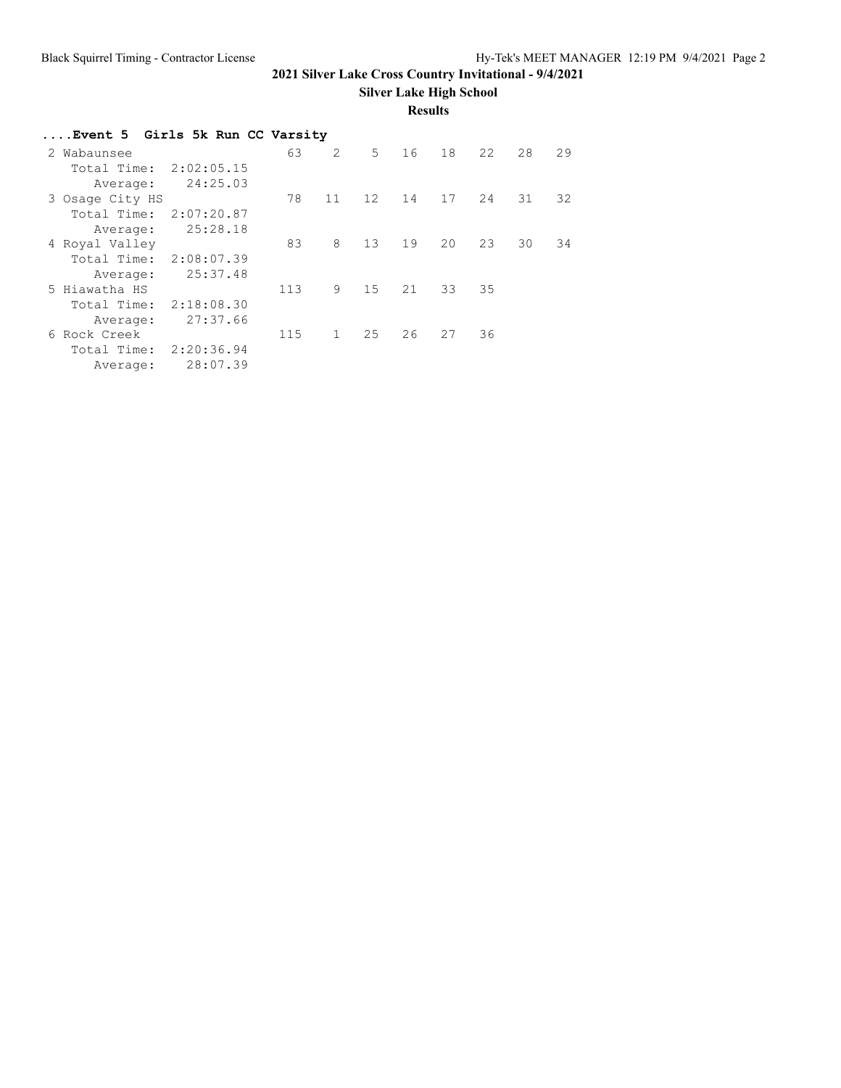**Silver Lake High School**

#### **Results**

| Event 5 Girls 5k Run CC Varsity |            |     |              |       |    |    |    |    |    |
|---------------------------------|------------|-----|--------------|-------|----|----|----|----|----|
| 2 Wabaunsee                     |            | 63  | 2            | $5 -$ | 16 | 18 | 22 | 28 | 29 |
| Total Time:                     | 2:02:05.15 |     |              |       |    |    |    |    |    |
| Average:                        | 24:25.03   |     |              |       |    |    |    |    |    |
| 3 Osage City HS                 |            | 78  | 11           | 12    | 14 | 17 | 24 | 31 | 32 |
| Total Time:                     | 2:07:20.87 |     |              |       |    |    |    |    |    |
| Average:                        | 25:28.18   |     |              |       |    |    |    |    |    |
| 4 Royal Valley                  |            | 83  | 8            | 13    | 19 | 20 | 23 | 30 | 34 |
| Total Time:                     | 2:08:07.39 |     |              |       |    |    |    |    |    |
| Average:                        | 25:37.48   |     |              |       |    |    |    |    |    |
| 5 Hiawatha HS                   |            | 113 | 9            | 15    | 21 | 33 | 35 |    |    |
| Total Time:                     | 2:18:08.30 |     |              |       |    |    |    |    |    |
| Average:                        | 27:37.66   |     |              |       |    |    |    |    |    |
| 6 Rock Creek                    |            | 115 | $\mathbf{1}$ | 25    | 26 | 27 | 36 |    |    |
| Total Time:                     | 2:20:36.94 |     |              |       |    |    |    |    |    |
| Average:                        | 28:07.39   |     |              |       |    |    |    |    |    |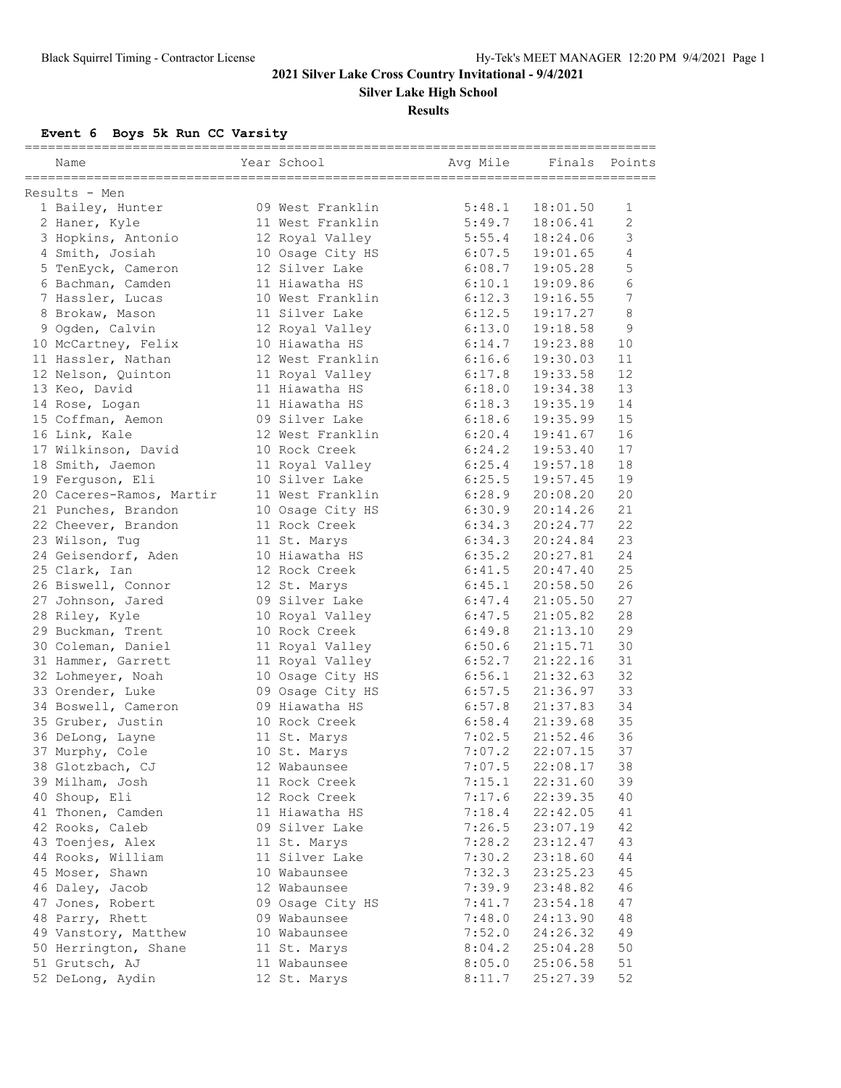**Silver Lake High School**

#### **Results**

**Event 6 Boys 5k Run CC Varsity**

| Name                                  | Year School                    | Avg Mile         | Finals   | Points       |
|---------------------------------------|--------------------------------|------------------|----------|--------------|
|                                       |                                |                  |          |              |
| Results - Men                         |                                |                  |          |              |
| 1 Bailey, Hunter                      | 09 West Franklin               | 5:48.1           | 18:01.50 | 1            |
| 2 Haner, Kyle                         | 11 West Franklin               | 5:49.7           | 18:06.41 | $\mathbf{2}$ |
| 3 Hopkins, Antonio                    | 12 Royal Valley                | 5:55.4           | 18:24.06 | 3            |
| 4 Smith, Josiah                       | 10 Osage City HS               | 6:07.5           | 19:01.65 | 4            |
| 5 TenEyck, Cameron                    | 12 Silver Lake                 | 6:08.7           | 19:05.28 | 5            |
| 6 Bachman, Camden                     | 11 Hiawatha HS                 | 6:10.1           | 19:09.86 | 6            |
| 7 Hassler, Lucas                      | 10 West Franklin               | 6:12.3           | 19:16.55 | $\sqrt{ }$   |
| 8 Brokaw, Mason                       | 11 Silver Lake                 | 6:12.5           | 19:17.27 | 8            |
| 9 Ogden, Calvin                       | 12 Royal Valley                | 6:13.0           | 19:18.58 | 9            |
| 10 McCartney, Felix                   | 10 Hiawatha HS                 | 6:14.7           | 19:23.88 | 10           |
| 11 Hassler, Nathan                    | 12 West Franklin               | 6:16.6           | 19:30.03 | 11           |
| 12 Nelson, Quinton                    | 11 Royal Valley                | 6:17.8           | 19:33.58 | 12           |
| 13 Keo, David                         | 11 Hiawatha HS                 | 6:18.0           | 19:34.38 | 13           |
| 14 Rose, Logan                        | 11 Hiawatha HS                 | 6:18.3           | 19:35.19 | 14           |
| 15 Coffman, Aemon                     | 09 Silver Lake                 | 6:18.6           | 19:35.99 | 15           |
| 16 Link, Kale                         | 12 West Franklin               | 6:20.4           | 19:41.67 | 16           |
| 17 Wilkinson, David                   | 10 Rock Creek                  | 6:24.2           | 19:53.40 | 17           |
| 18 Smith, Jaemon                      | 11 Royal Valley                | 6:25.4           | 19:57.18 | 18           |
| 19 Ferguson, Eli                      | 10 Silver Lake                 | 6:25.5           | 19:57.45 | 19           |
| 20 Caceres-Ramos, Martir              | 11 West Franklin               | 6:28.9           | 20:08.20 | 20           |
| 21 Punches, Brandon                   | 10 Osage City HS               | 6:30.9           | 20:14.26 | 21           |
| 22 Cheever, Brandon                   | 11 Rock Creek                  | 6:34.3           | 20:24.77 | 22           |
| 23 Wilson, Tug                        | 11 St. Marys                   | 6:34.3           | 20:24.84 | 23           |
| 24 Geisendorf, Aden                   | 10 Hiawatha HS                 | 6:35.2           | 20:27.81 | 24           |
| 25 Clark, Ian                         | 12 Rock Creek                  | 6:41.5           | 20:47.40 | 25           |
| 26 Biswell, Connor                    | 12 St. Marys                   | 6:45.1           | 20:58.50 | 26           |
| 27 Johnson, Jared                     | 09 Silver Lake                 | 6:47.4           | 21:05.50 | 27           |
| 28 Riley, Kyle                        | 10 Royal Valley                | 6:47.5           | 21:05.82 | 28           |
| 29 Buckman, Trent                     | 10 Rock Creek                  | 6:49.8           | 21:13.10 | 29           |
| 30 Coleman, Daniel                    | 11 Royal Valley                | 6:50.6           | 21:15.71 | 30           |
| 31 Hammer, Garrett                    | 11 Royal Valley                | 6:52.7           | 21:22.16 | 31           |
| 32 Lohmeyer, Noah                     | 10 Osage City HS               | 6:56.1           | 21:32.63 | 32           |
| 33 Orender, Luke                      | 09 Osage City HS               | 6:57.5           | 21:36.97 | 33           |
| 34 Boswell, Cameron                   | 09 Hiawatha HS                 | 6:57.8           | 21:37.83 | 34           |
| 35 Gruber, Justin                     | 10 Rock Creek                  | 6:58.4           | 21:39.68 | 35           |
| 36 DeLong, Layne                      | 11 St. Marys                   | 7:02.5           | 21:52.46 | 36           |
| 37 Murphy, Cole                       | 10 St. Marys                   | 7:07.2           | 22:07.15 | 37           |
| 38 Glotzbach, CJ                      | 12 Wabaunsee                   | 7:07.5           | 22:08.17 | 38           |
| 39 Milham, Josh                       | 11 Rock Creek                  | 7:15.1           | 22:31.60 | 39           |
| 40 Shoup, Eli                         | 12 Rock Creek                  | 7:17.6           | 22:39.35 | 40           |
| 41 Thonen, Camden                     | 11 Hiawatha HS                 | 7:18.4           | 22:42.05 | 41           |
|                                       | 09 Silver Lake                 |                  |          | 42           |
| 42 Rooks, Caleb                       |                                | 7:26.5<br>7:28.2 | 23:07.19 | 43           |
| 43 Toenjes, Alex<br>44 Rooks, William | 11 St. Marys<br>11 Silver Lake | 7:30.2           | 23:12.47 | 44           |
| 45 Moser, Shawn                       |                                |                  | 23:18.60 |              |
|                                       | 10 Wabaunsee                   | 7:32.3           | 23:25.23 | 45           |
| 46 Daley, Jacob                       | 12 Wabaunsee                   | 7:39.9           | 23:48.82 | 46           |
| 47 Jones, Robert                      | 09 Osage City HS               | 7:41.7           | 23:54.18 | 47           |
| 48 Parry, Rhett                       | 09 Wabaunsee                   | 7:48.0           | 24:13.90 | 48           |
| 49 Vanstory, Matthew                  | 10 Wabaunsee                   | 7:52.0           | 24:26.32 | 49           |
| 50 Herrington, Shane                  | 11 St. Marys                   | 8:04.2           | 25:04.28 | 50           |
| 51 Grutsch, AJ                        | 11 Wabaunsee                   | 8:05.0           | 25:06.58 | 51           |
| 52 DeLong, Aydin                      | 12 St. Marys                   | 8:11.7           | 25:27.39 | 52           |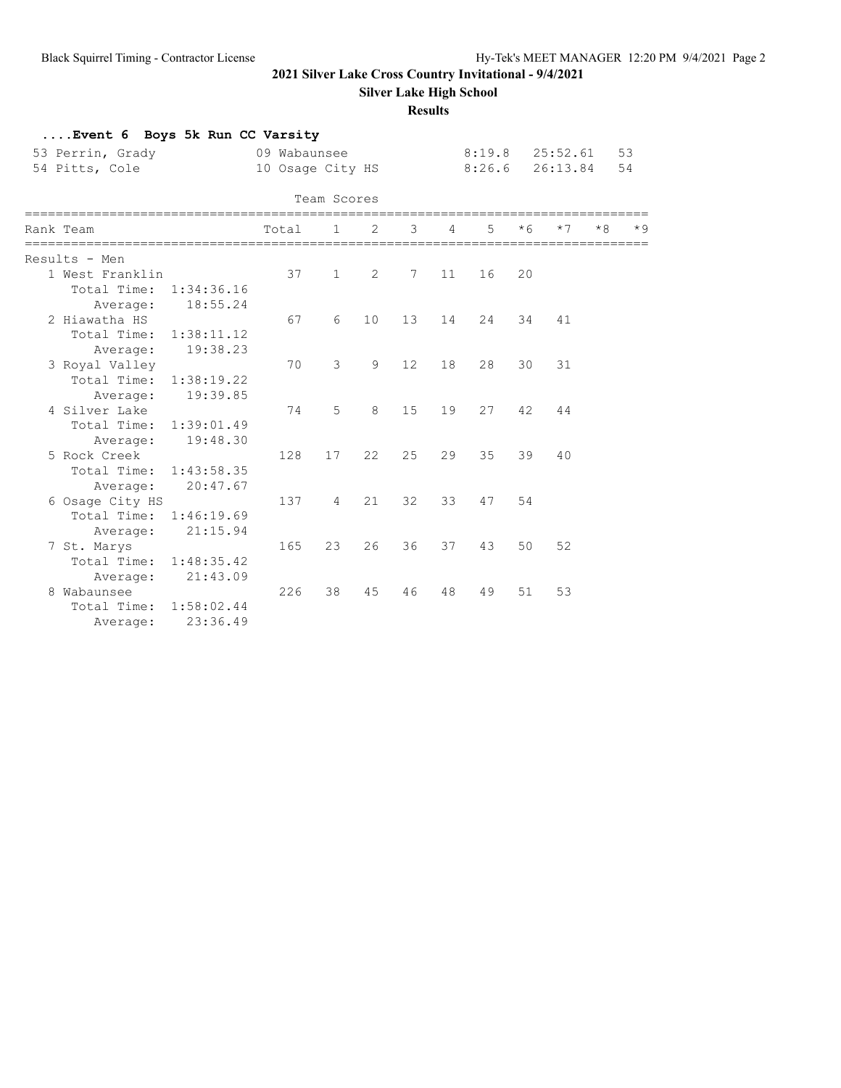**Silver Lake High School**

**Results**

| Event 6 Boys 5k Run CC Varsity<br>53 Perrin, Grady<br>54 Pitts, Cole |            | 09 Wabaunsee<br>10 Osage City HS |                |    |        |    | $8:19.8$ $25:52.61$<br>8:26.6 |      | 26:13.84 |      | 53<br>54 |
|----------------------------------------------------------------------|------------|----------------------------------|----------------|----|--------|----|-------------------------------|------|----------|------|----------|
|                                                                      |            |                                  | Team Scores    |    |        |    |                               |      |          |      |          |
| Rank Team                                                            |            | Total                            | 1              | 2  | 3      | 4  | 5.                            | $*6$ | $*7$     | $*8$ |          |
| Results - Men                                                        |            |                                  |                |    |        |    |                               |      |          |      |          |
| 1 West Franklin                                                      |            | 37                               | $\mathbf{1}$   | 2  | 7      | 11 | 16                            | 20   |          |      |          |
| Total Time: 1:34:36.16                                               |            |                                  |                |    |        |    |                               |      |          |      |          |
| Average:                                                             | 18:55.24   |                                  |                |    |        |    |                               |      |          |      |          |
| 2 Hiawatha HS                                                        |            | 67                               | 6              | 10 | $13 -$ | 14 | 24                            | 34   | 41       |      |          |
| Total Time:                                                          | 1:38:11.12 |                                  |                |    |        |    |                               |      |          |      |          |
| Average:                                                             | 19:38.23   |                                  |                |    |        |    |                               |      |          |      |          |
| 3 Royal Valley                                                       |            | 70                               | 3              | 9  | 12     | 18 | 28                            | 30   | 31       |      |          |
| Total Time: 1:38:19.22                                               |            |                                  |                |    |        |    |                               |      |          |      |          |
| Average:                                                             | 19:39.85   |                                  |                |    |        |    |                               |      |          |      |          |
| 4 Silver Lake                                                        |            | 74                               | 5              | 8  | 15     | 19 | 27                            | 42   | 44       |      |          |
| Total Time: 1:39:01.49                                               |            |                                  |                |    |        |    |                               |      |          |      |          |
| Average:                                                             | 19:48.30   |                                  |                |    |        |    |                               |      |          |      |          |
| 5 Rock Creek                                                         |            | 128                              | 17             | 22 | 25     | 29 | 35                            | 39   | 40       |      |          |
| Total Time:                                                          | 1:43:58.35 |                                  |                |    |        |    |                               |      |          |      |          |
| Average:                                                             | 20:47.67   |                                  |                |    |        |    |                               |      |          |      |          |
| 6 Osage City HS                                                      |            | 137                              | $\overline{4}$ | 21 | 32     | 33 | 47                            | 54   |          |      |          |
| Total Time: 1:46:19.69                                               |            |                                  |                |    |        |    |                               |      |          |      |          |
| Average:                                                             | 21:15.94   |                                  |                |    |        |    |                               |      |          |      |          |
| 7 St. Marys                                                          |            | 165                              | 23             | 26 | 36     | 37 | 43                            | 50   | 52       |      |          |
| Total Time: 1:48:35.42                                               |            |                                  |                |    |        |    |                               |      |          |      |          |
| Average:                                                             | 21:43.09   |                                  |                |    |        |    |                               |      |          |      |          |
| 8 Wabaunsee                                                          |            | 226                              | 38             | 45 | 46     | 48 | 49                            | 51   | 53       |      |          |
| Total Time:                                                          | 1:58:02.44 |                                  |                |    |        |    |                               |      |          |      |          |
| Average:                                                             | 23:36.49   |                                  |                |    |        |    |                               |      |          |      |          |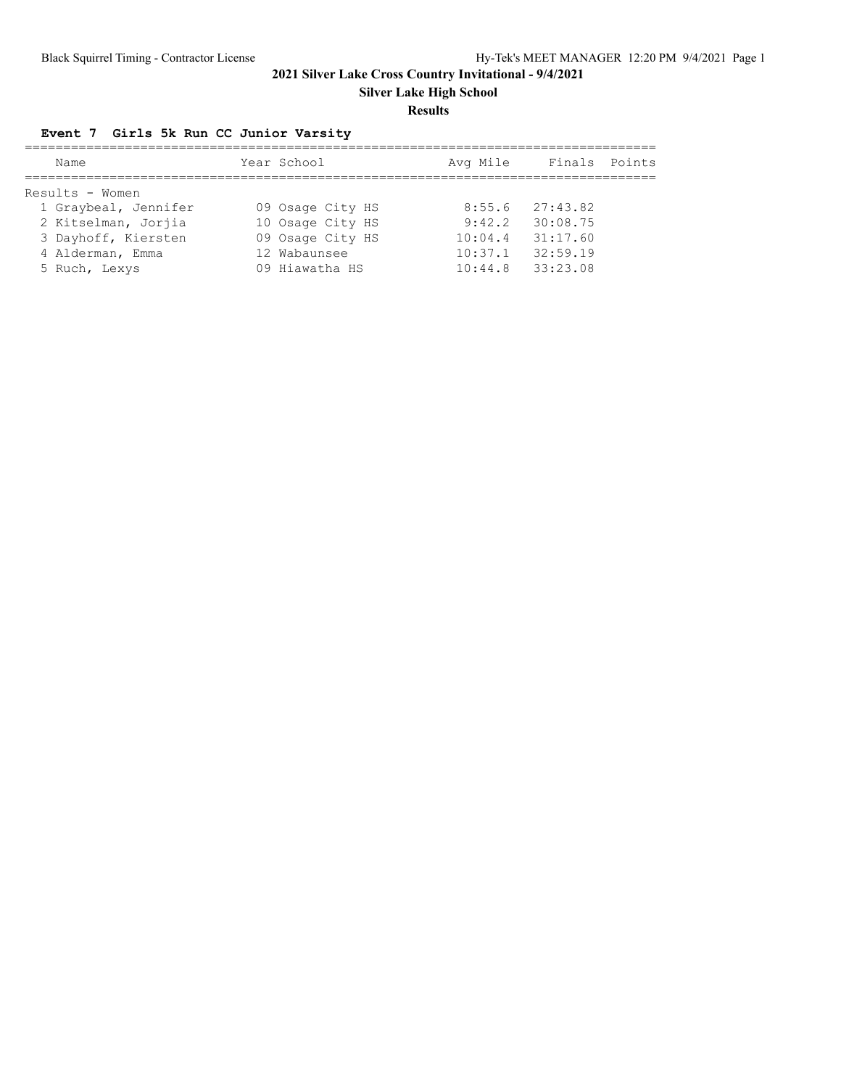**Silver Lake High School**

#### **Results**

# **Event 7 Girls 5k Run CC Junior Varsity**

| Name                 | Year School      | Avg Mile | Finals Points |  |
|----------------------|------------------|----------|---------------|--|
|                      |                  |          |               |  |
| Results - Women      |                  |          |               |  |
| 1 Graybeal, Jennifer | 09 Osage City HS | 8:55.6   | 27:43.82      |  |
| 2 Kitselman, Jorjia  | 10 Osage City HS | 9:42.2   | 30:08.75      |  |
| 3 Dayhoff, Kiersten  | 09 Osage City HS | 10:04.4  | 31:17.60      |  |
| 4 Alderman, Emma     | 12 Wabaunsee     | 10:37.1  | 32:59.19      |  |
| 5 Ruch, Lexys        | 09 Hiawatha HS   | 10:44.8  | 33:23.08      |  |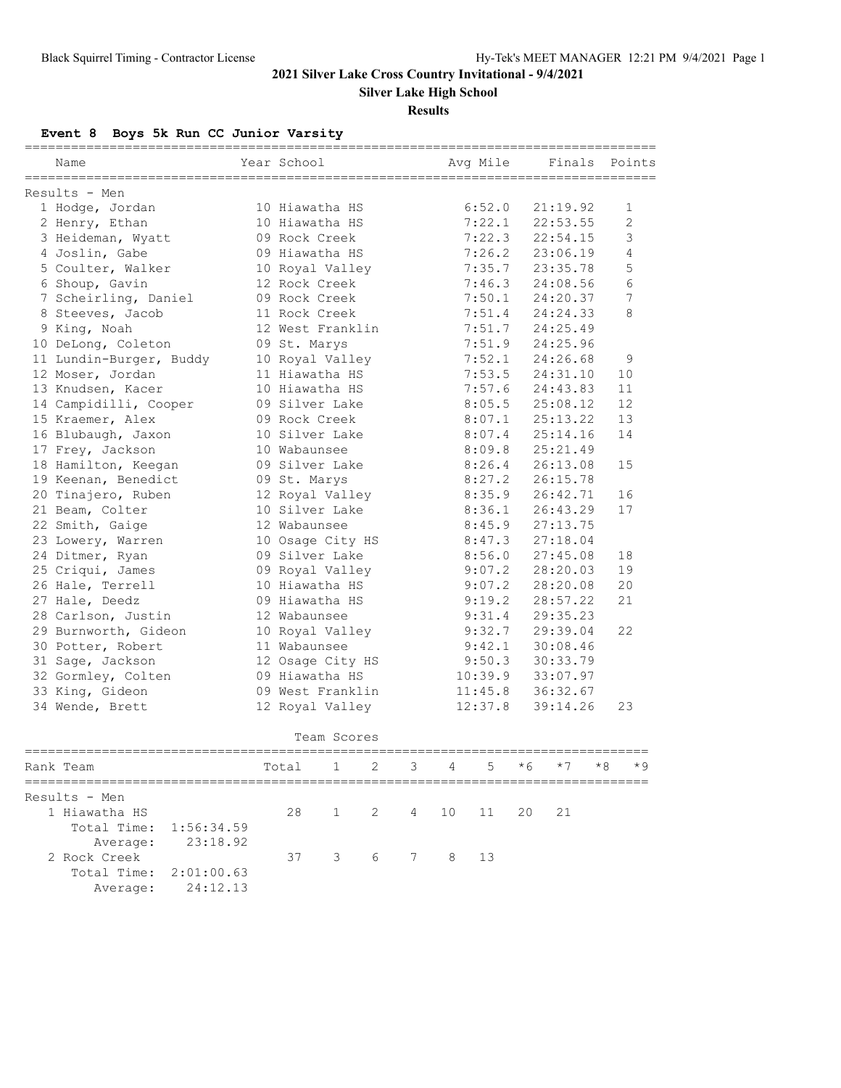**Silver Lake High School**

#### **Results**

**Event 8 Boys 5k Run CC Junior Varsity**

| Name                    | Year School      | Avq Mile | ===============<br>Finals | Points         |
|-------------------------|------------------|----------|---------------------------|----------------|
| Results - Men           |                  |          |                           |                |
| 1 Hodge, Jordan         | 10 Hiawatha HS   | 6:52.0   | 21:19.92                  | 1              |
| 2 Henry, Ethan          | 10 Hiawatha HS   | 7:22.1   | 22:53.55                  | $\overline{2}$ |
| 3 Heideman, Wyatt       | 09 Rock Creek    | 7:22.3   | 22:54.15                  | 3              |
| 4 Joslin, Gabe          | 09 Hiawatha HS   | 7:26.2   | 23:06.19                  | 4              |
| 5 Coulter, Walker       | 10 Royal Valley  | 7:35.7   | 23:35.78                  | 5              |
| 6 Shoup, Gavin          | 12 Rock Creek    | 7:46.3   | 24:08.56                  | 6              |
| 7 Scheirling, Daniel    | 09 Rock Creek    | 7:50.1   | 24:20.37                  | 7              |
| 8 Steeves, Jacob        | 11 Rock Creek    | 7:51.4   | 24:24.33                  | 8              |
| 9 King, Noah            | 12 West Franklin | 7:51.7   | 24:25.49                  |                |
| 10 DeLong, Coleton      | 09 St. Marys     | 7:51.9   | 24:25.96                  |                |
| 11 Lundin-Burger, Buddy | 10 Royal Valley  | 7:52.1   | 24:26.68                  | 9              |
| 12 Moser, Jordan        | 11 Hiawatha HS   | 7:53.5   | 24:31.10                  | 10             |
| 13 Knudsen, Kacer       | 10 Hiawatha HS   | 7:57.6   | 24:43.83                  | 11             |
| 14 Campidilli, Cooper   | 09 Silver Lake   | 8:05.5   | 25:08.12                  | 12             |
| 15 Kraemer, Alex        | 09 Rock Creek    | 8:07.1   | 25:13.22                  | 13             |
| 16 Blubaugh, Jaxon      | 10 Silver Lake   | 8:07.4   | 25:14.16                  | 14             |
| 17 Frey, Jackson        | 10 Wabaunsee     | 8:09.8   | 25:21.49                  |                |
| 18 Hamilton, Keegan     | 09 Silver Lake   | 8:26.4   | 26:13.08                  | 15             |
| 19 Keenan, Benedict     | 09 St. Marys     | 8:27.2   | 26:15.78                  |                |
| 20 Tinajero, Ruben      | 12 Royal Valley  | 8:35.9   | 26:42.71                  | 16             |
| 21 Beam, Colter         | 10 Silver Lake   | 8:36.1   | 26:43.29                  | 17             |
| 22 Smith, Gaige         | 12 Wabaunsee     | 8:45.9   | 27:13.75                  |                |
| 23 Lowery, Warren       | 10 Osage City HS | 8:47.3   | 27:18.04                  |                |
| 24 Ditmer, Ryan         | 09 Silver Lake   | 8:56.0   | 27:45.08                  | 18             |
| 25 Criqui, James        | 09 Royal Valley  | 9:07.2   | 28:20.03                  | 19             |
| 26 Hale, Terrell        | 10 Hiawatha HS   | 9:07.2   | 28:20.08                  | 20             |
| 27 Hale, Deedz          | 09 Hiawatha HS   | 9:19.2   | 28:57.22                  | 21             |
| 28 Carlson, Justin      | 12 Wabaunsee     | 9:31.4   | 29:35.23                  |                |
| 29 Burnworth, Gideon    | 10 Royal Valley  | 9:32.7   | 29:39.04                  | 22             |
| 30 Potter, Robert       | 11 Wabaunsee     | 9:42.1   | 30:08.46                  |                |
| 31 Sage, Jackson        | 12 Osage City HS | 9:50.3   | 30:33.79                  |                |
| 32 Gormley, Colten      | 09 Hiawatha HS   | 10:39.9  | 33:07.97                  |                |
| 33 King, Gideon         | 09 West Franklin | 11:45.8  | 36:32.67                  |                |
| 34 Wende, Brett         | 12 Royal Valley  | 12:37.8  | 39:14.26                  | 23             |
|                         | Team Scores      |          |                           |                |

| Rank Team                               |                   | Total 1 2 3 4 5 $*6$ $*7$ |                      |  |  | $*8$ | $*9$ |
|-----------------------------------------|-------------------|---------------------------|----------------------|--|--|------|------|
| Results - Men                           |                   |                           |                      |  |  |      |      |
| 1 Hiawatha HS<br>Total Time: 1:56:34.59 |                   |                           | 28 1 2 4 10 11 20 21 |  |  |      |      |
| 2 Rock Creek                            | Average: 23:18.92 |                           | 37 3 6 7 8 13        |  |  |      |      |
| Total Time: $2:01:00.63$                | Average: 24:12.13 |                           |                      |  |  |      |      |